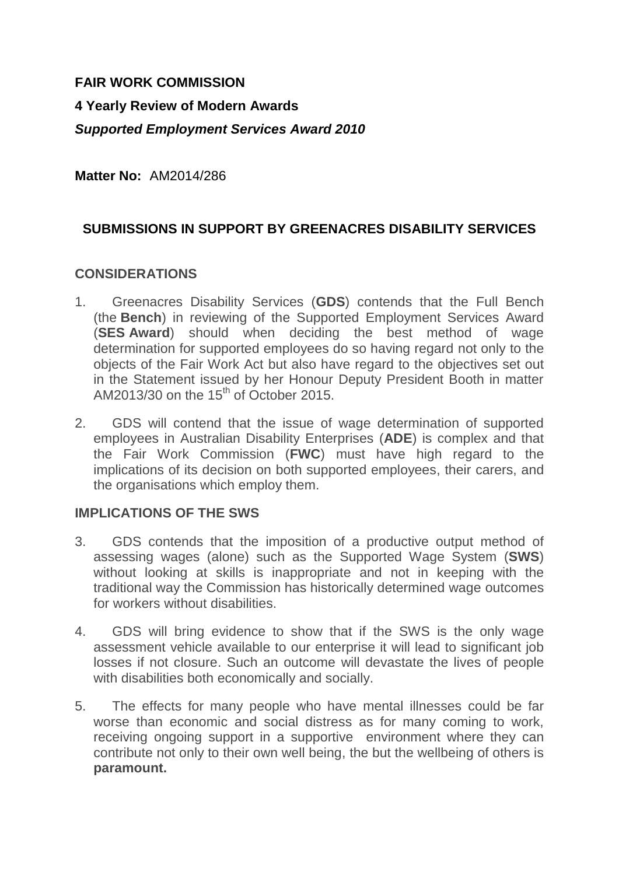## **FAIR WORK COMMISSION**

# **4 Yearly Review of Modern Awards** *Supported Employment Services Award 2010*

**Matter No:** AM2014/286

# **SUBMISSIONS IN SUPPORT BY GREENACRES DISABILITY SERVICES**

#### **CONSIDERATIONS**

- 1. Greenacres Disability Services (**GDS**) contends that the Full Bench (the **Bench**) in reviewing of the Supported Employment Services Award (**SES Award**) should when deciding the best method of wage determination for supported employees do so having regard not only to the objects of the Fair Work Act but also have regard to the objectives set out in the Statement issued by her Honour Deputy President Booth in matter AM2013/30 on the  $15<sup>th</sup>$  of October 2015.
- 2. GDS will contend that the issue of wage determination of supported employees in Australian Disability Enterprises (**ADE**) is complex and that the Fair Work Commission (**FWC**) must have high regard to the implications of its decision on both supported employees, their carers, and the organisations which employ them.

#### **IMPLICATIONS OF THE SWS**

- 3. GDS contends that the imposition of a productive output method of assessing wages (alone) such as the Supported Wage System (**SWS**) without looking at skills is inappropriate and not in keeping with the traditional way the Commission has historically determined wage outcomes for workers without disabilities.
- 4. GDS will bring evidence to show that if the SWS is the only wage assessment vehicle available to our enterprise it will lead to significant job losses if not closure. Such an outcome will devastate the lives of people with disabilities both economically and socially.
- 5. The effects for many people who have mental illnesses could be far worse than economic and social distress as for many coming to work, receiving ongoing support in a supportive environment where they can contribute not only to their own well being, the but the wellbeing of others is **paramount.**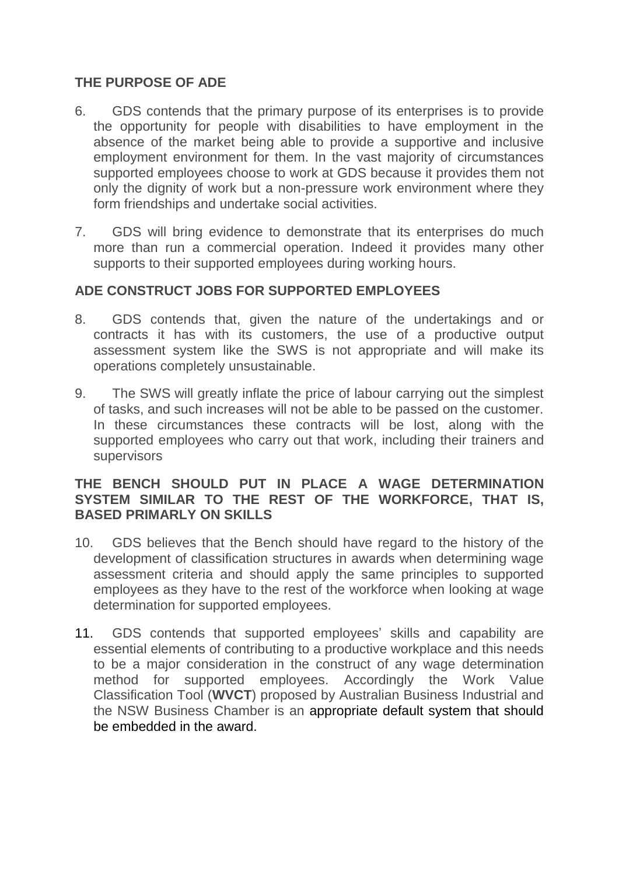## **THE PURPOSE OF ADE**

- 6. GDS contends that the primary purpose of its enterprises is to provide the opportunity for people with disabilities to have employment in the absence of the market being able to provide a supportive and inclusive employment environment for them. In the vast majority of circumstances supported employees choose to work at GDS because it provides them not only the dignity of work but a non-pressure work environment where they form friendships and undertake social activities.
- 7. GDS will bring evidence to demonstrate that its enterprises do much more than run a commercial operation. Indeed it provides many other supports to their supported employees during working hours.

# **ADE CONSTRUCT JOBS FOR SUPPORTED EMPLOYEES**

- 8. GDS contends that, given the nature of the undertakings and or contracts it has with its customers, the use of a productive output assessment system like the SWS is not appropriate and will make its operations completely unsustainable.
- 9. The SWS will greatly inflate the price of labour carrying out the simplest of tasks, and such increases will not be able to be passed on the customer. In these circumstances these contracts will be lost, along with the supported employees who carry out that work, including their trainers and supervisors

#### **THE BENCH SHOULD PUT IN PLACE A WAGE DETERMINATION SYSTEM SIMILAR TO THE REST OF THE WORKFORCE, THAT IS, BASED PRIMARLY ON SKILLS**

- 10. GDS believes that the Bench should have regard to the history of the development of classification structures in awards when determining wage assessment criteria and should apply the same principles to supported employees as they have to the rest of the workforce when looking at wage determination for supported employees.
- 11. GDS contends that supported employees' skills and capability are essential elements of contributing to a productive workplace and this needs to be a major consideration in the construct of any wage determination method for supported employees. Accordingly the Work Value Classification Tool (**WVCT**) proposed by Australian Business Industrial and the NSW Business Chamber is an appropriate default system that should be embedded in the award.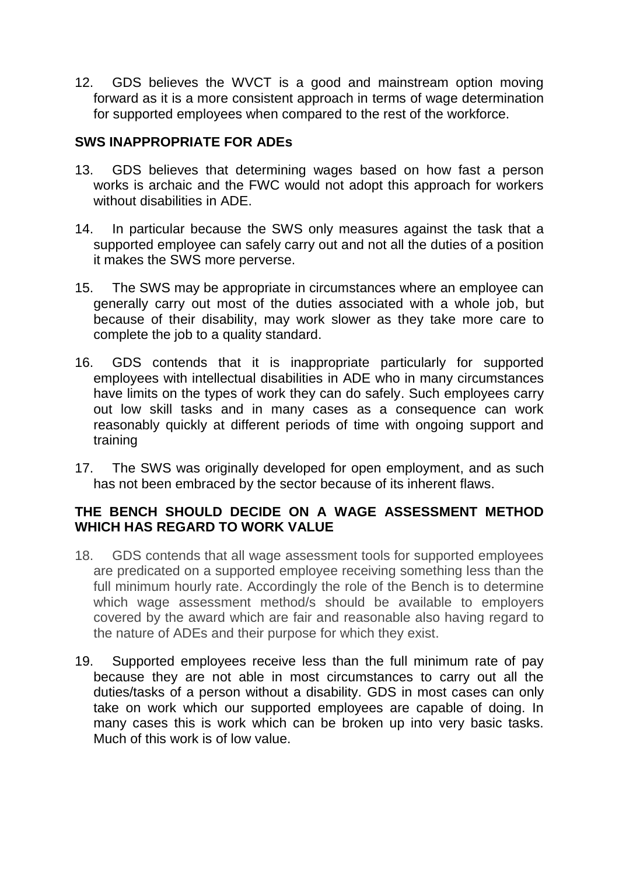12. GDS believes the WVCT is a good and mainstream option moving forward as it is a more consistent approach in terms of wage determination for supported employees when compared to the rest of the workforce.

# **SWS INAPPROPRIATE FOR ADEs**

- 13. GDS believes that determining wages based on how fast a person works is archaic and the FWC would not adopt this approach for workers without disabilities in ADE.
- 14. In particular because the SWS only measures against the task that a supported employee can safely carry out and not all the duties of a position it makes the SWS more perverse.
- 15. The SWS may be appropriate in circumstances where an employee can generally carry out most of the duties associated with a whole job, but because of their disability, may work slower as they take more care to complete the job to a quality standard.
- 16. GDS contends that it is inappropriate particularly for supported employees with intellectual disabilities in ADE who in many circumstances have limits on the types of work they can do safely. Such employees carry out low skill tasks and in many cases as a consequence can work reasonably quickly at different periods of time with ongoing support and training
- 17. The SWS was originally developed for open employment, and as such has not been embraced by the sector because of its inherent flaws.

# **THE BENCH SHOULD DECIDE ON A WAGE ASSESSMENT METHOD WHICH HAS REGARD TO WORK VALUE**

- 18. GDS contends that all wage assessment tools for supported employees are predicated on a supported employee receiving something less than the full minimum hourly rate. Accordingly the role of the Bench is to determine which wage assessment method/s should be available to employers covered by the award which are fair and reasonable also having regard to the nature of ADEs and their purpose for which they exist.
- 19. Supported employees receive less than the full minimum rate of pay because they are not able in most circumstances to carry out all the duties/tasks of a person without a disability. GDS in most cases can only take on work which our supported employees are capable of doing. In many cases this is work which can be broken up into very basic tasks. Much of this work is of low value.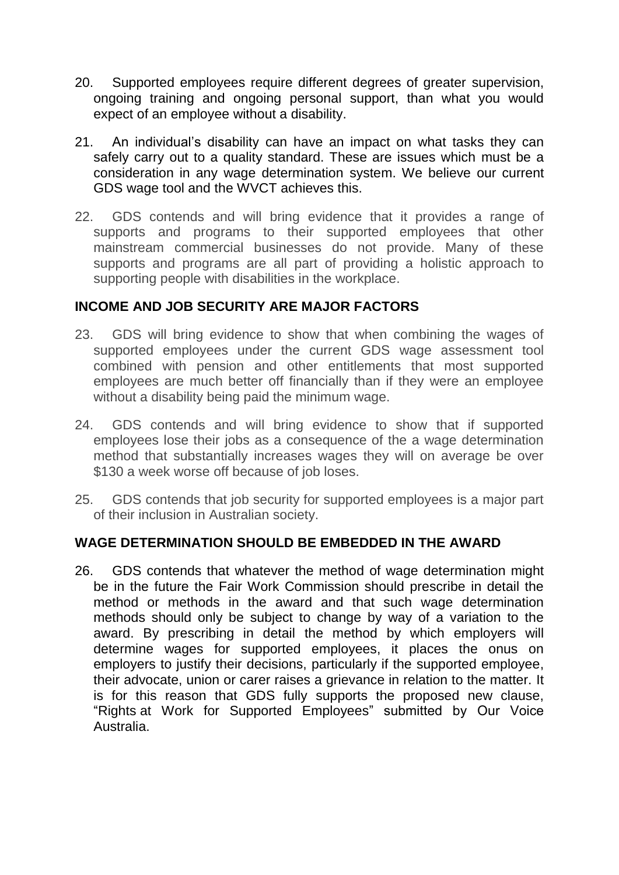- 20. Supported employees require different degrees of greater supervision, ongoing training and ongoing personal support, than what you would expect of an employee without a disability.
- 21. An individual's disability can have an impact on what tasks they can safely carry out to a quality standard. These are issues which must be a consideration in any wage determination system. We believe our current GDS wage tool and the WVCT achieves this.
- 22. GDS contends and will bring evidence that it provides a range of supports and programs to their supported employees that other mainstream commercial businesses do not provide. Many of these supports and programs are all part of providing a holistic approach to supporting people with disabilities in the workplace.

## **INCOME AND JOB SECURITY ARE MAJOR FACTORS**

- 23. GDS will bring evidence to show that when combining the wages of supported employees under the current GDS wage assessment tool combined with pension and other entitlements that most supported employees are much better off financially than if they were an employee without a disability being paid the minimum wage.
- 24. GDS contends and will bring evidence to show that if supported employees lose their jobs as a consequence of the a wage determination method that substantially increases wages they will on average be over \$130 a week worse off because of job loses.
- 25. GDS contends that job security for supported employees is a major part of their inclusion in Australian society.

## **WAGE DETERMINATION SHOULD BE EMBEDDED IN THE AWARD**

26. GDS contends that whatever the method of wage determination might be in the future the Fair Work Commission should prescribe in detail the method or methods in the award and that such wage determination methods should only be subject to change by way of a variation to the award. By prescribing in detail the method by which employers will determine wages for supported employees, it places the onus on employers to justify their decisions, particularly if the supported employee, their advocate, union or carer raises a grievance in relation to the matter. It is for this reason that GDS fully supports the proposed new clause, "Rights at Work for Supported Employees" submitted by Our Voice Australia.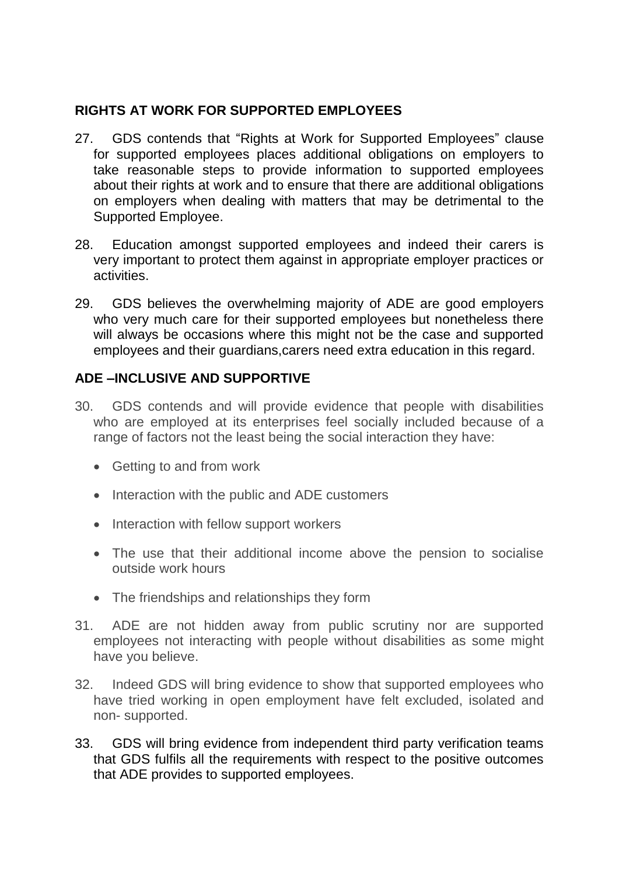#### **RIGHTS AT WORK FOR SUPPORTED EMPLOYEES**

- 27. GDS contends that "Rights at Work for Supported Employees" clause for supported employees places additional obligations on employers to take reasonable steps to provide information to supported employees about their rights at work and to ensure that there are additional obligations on employers when dealing with matters that may be detrimental to the Supported Employee.
- 28. Education amongst supported employees and indeed their carers is very important to protect them against in appropriate employer practices or activities.
- 29. GDS believes the overwhelming majority of ADE are good employers who very much care for their supported employees but nonetheless there will always be occasions where this might not be the case and supported employees and their guardians,carers need extra education in this regard.

# **ADE –INCLUSIVE AND SUPPORTIVE**

- 30. GDS contends and will provide evidence that people with disabilities who are employed at its enterprises feel socially included because of a range of factors not the least being the social interaction they have:
	- Getting to and from work
	- Interaction with the public and ADE customers
	- Interaction with fellow support workers
	- The use that their additional income above the pension to socialise outside work hours
	- The friendships and relationships they form
- 31. ADE are not hidden away from public scrutiny nor are supported employees not interacting with people without disabilities as some might have you believe.
- 32. Indeed GDS will bring evidence to show that supported employees who have tried working in open employment have felt excluded, isolated and non- supported.
- 33. GDS will bring evidence from independent third party verification teams that GDS fulfils all the requirements with respect to the positive outcomes that ADE provides to supported employees.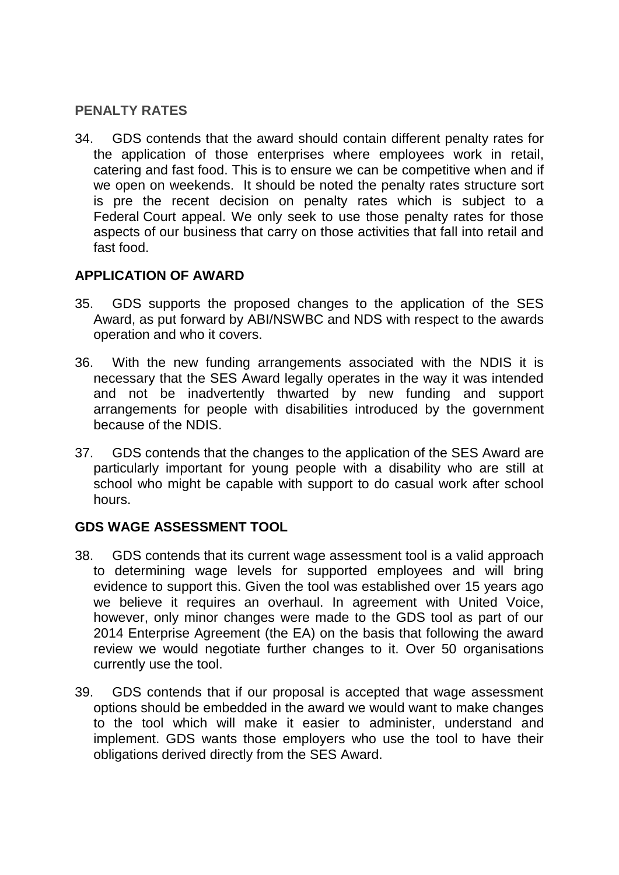#### **PENALTY RATES**

34. GDS contends that the award should contain different penalty rates for the application of those enterprises where employees work in retail, catering and fast food. This is to ensure we can be competitive when and if we open on weekends. It should be noted the penalty rates structure sort is pre the recent decision on penalty rates which is subject to a Federal Court appeal. We only seek to use those penalty rates for those aspects of our business that carry on those activities that fall into retail and fast food.

#### **APPLICATION OF AWARD**

- 35. GDS supports the proposed changes to the application of the SES Award, as put forward by ABI/NSWBC and NDS with respect to the awards operation and who it covers.
- 36. With the new funding arrangements associated with the NDIS it is necessary that the SES Award legally operates in the way it was intended and not be inadvertently thwarted by new funding and support arrangements for people with disabilities introduced by the government because of the NDIS.
- 37. GDS contends that the changes to the application of the SES Award are particularly important for young people with a disability who are still at school who might be capable with support to do casual work after school hours.

## **GDS WAGE ASSESSMENT TOOL**

- 38. GDS contends that its current wage assessment tool is a valid approach to determining wage levels for supported employees and will bring evidence to support this. Given the tool was established over 15 years ago we believe it requires an overhaul. In agreement with United Voice, however, only minor changes were made to the GDS tool as part of our 2014 Enterprise Agreement (the EA) on the basis that following the award review we would negotiate further changes to it. Over 50 organisations currently use the tool.
- 39. GDS contends that if our proposal is accepted that wage assessment options should be embedded in the award we would want to make changes to the tool which will make it easier to administer, understand and implement. GDS wants those employers who use the tool to have their obligations derived directly from the SES Award.